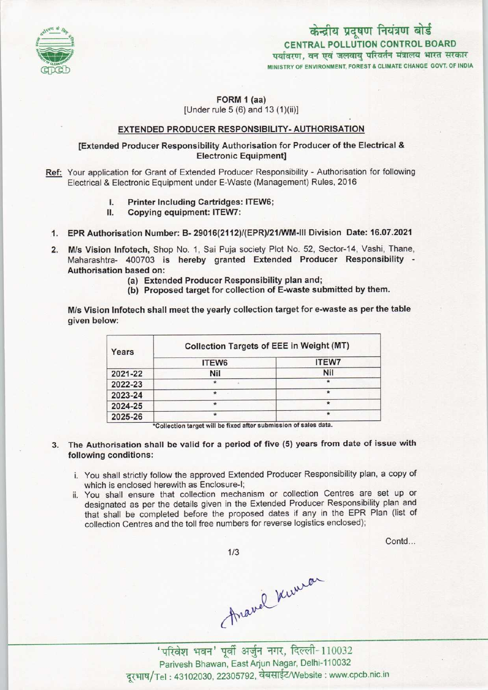

## केन्द्रीय प्रदूषण नियंत्रण बोर्ड CENTRAL POLLUTION CONTROL BOARD पर्यावरण, वन एवं जलवाय परिवर्तन मंत्रालय भारत सरकार MINISTRY OF ENVIRONMENT, FOREST & CLIMATE CHANGE GOVT. OF INDIA

# FORM 1 (aa)

[Under rule  $5(6)$  and  $13(1)(ii)$ ]

#### EXTENDED PRODUCER RESPONSIBILITY- AUTHORISATION

### [Extended Producer Responsibility Authorisation for Producer of the Electrical & Electronic Equipment]

- Ref: Your application for Grant of Extended Producer Responsibility Authorisation for following Electrical & Electronic Equipment under E-Waste (Management) Rules, 2016
	- Printer Including Cartridges: ITEW6; 1.
	- Copying equipment: ITEW7:
	- 1.EPR Authorisation Number: B-29016(2112)/(EPR)/21/WM-1ll Division Date: 16.07.2021
	- 2.M/s Vision Infotech, Shop No. 1, Sai Puja society Plot No. 52, Sector-14, Vashi, Thane, Maharashtra- 400703 is hereby granted Extended Producer Responsibility - Authorisation based on:
		- (a)Extended Producer Responsibility plan and;
		- (b) Proposed target for collection of E-waste submitted by them.

M/s Vision Infotech shall meet the yearly collection target for e-waste as per the table given below:

| Years   | <b>Collection Targets of EEE in Weight (MT)</b> |              |
|---------|-------------------------------------------------|--------------|
|         | ITEW6                                           | <b>ITEW7</b> |
| 2021-22 | <b>Nil</b>                                      | Nil          |
| 2022-23 | $\star$                                         | $\star$      |
| 2023-24 | *                                               |              |
| 2024-25 | $\star$                                         |              |
| 2025-26 | *                                               | *            |

\*Collection target will be fixed after submission of sales data.

#### 3. The Authorisation shall be valid for a period of five (5) years from date of issue with following conditions:

- i. You shall strictly follow the approved Extended Producer Responsibility plan, a copy of which is enclosed herewith as Enclosure-I;
- ii. You shall ensure that collection mechanism or collection Centres are set up or designated as per the details given in the Extended Producer Responsibility plan and that shall be completed before the proposed dates if any in the EPR Plan (list of collection Centres and the toll free numbers for reverse logistics enclosed);

Contd...

 $1/3$ 

Anavel Kurran

'परिवेश भवन' पूर्वी अर्जुन नगर, दिल्ली-110032 Parivesh Bhawan, East Arjun Nagar, Delhi-110032 दरभाष/Tel: 43102030, 22305792, वेबसाईट/Website: www.cpcb.nic.in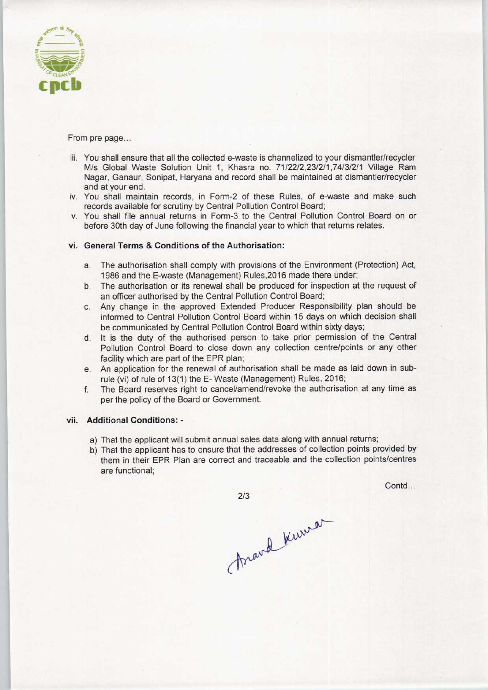

From pre page...

- iii. You shall ensure that all the collected e-waste is channelized to your dismantler/recycler M/s Global Waste Solution Unit 1, Khasra no. 71/22/2,23/2/1,74/3/2/1 Village Ram Nagar, Ganaur, Sonipat, Haryana and record shall be maintained at dismantler/recycler and at your end.
- iv. You shall maintain records, in Form-2 of these Rules, of e-waste and make such records available for scrutiny by Central Pollution Control Board;
- v. You shall file annual returns in Form-3 to the Central Pollution Control Board on or before 30th day of June following the financial year to which that returns relates.

#### vi. General Terms & Conditions of the Authorisation:

- a. The authorisation shall comply with provisions of the Environment (Protection) Act, 1986 and the E-waste (Management) Rules,2016 made there under;
- b.The authorisation or its renewal shall be produced for inspection at the request of an officer authorised by the Central Pollution Control Board;
- c.Any change in the approved Extended Producer Responsibility plan should be informed to Central Pollution Control Board within 15 days on which decision shall be communicated by Central Pollution Control Board within sixty days;
- d. It is the duty of the authorised person to take prior permission of the Central Pollution Control Board to close down any collection centre/points or any other facility which are part of the EPR plan;
- e.An application for the renewal of authorisation shall be made as laid down in subrule {vi) of rule of 13(1) the E- Waste (Management) Rules, 2016;
- f. The Board reserves right to cancel/amend/revoke the authorisation at any time as per the policy of the Board or Government.

#### vii. Additional Conditions: -

- a) That the applicant will submit annual sales data along with annual returns;
- b) That the applicant has to ensure that the addresses of collection points provided by them in their EPR Plan are correct and traceable and the collection points/centres are functional;

 $2/3$ 

Contd...

Arand Kuman